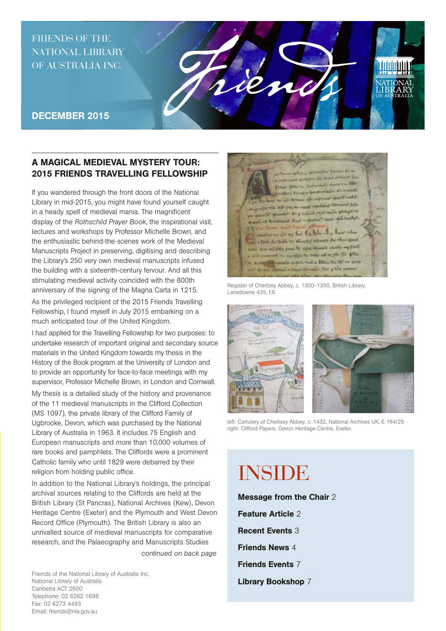## FRIENDS OF THE NATIONAL LIBRARY OF AUSTRALIA INC.



### DECEMBER 2015

## A MAGICAL MEDIEVAL MYSTERY TOUR: 2015 FRIENDS TRAVELLING FELLOWSHIP

If you wandered through the front doors of the National Library in mid-2015, you might have found yourself caught in a heady spell of medieval mania. The magnificent display of the *Rothschild Prayer Book*, the inspirational visit, lectures and workshops by Professor Michelle Brown, and the enthusiastic behind-the-scenes work of the Medieval Manuscripts Project in preserving, digitising and describing the Library's 250 very own medieval manuscripts infused the building with a sixteenth-century fervour. And all this stimulating medieval activity coincided with the 800th anniversary of the signing of the Magna Carta in 1215.

As the privileged recipient of the 2015 Friends Travelling Fellowship, I found myself in July 2015 embarking on a much anticipated tour of the United Kingdom.

I had applied for the Travelling Fellowship for two purposes: to undertake research of important original and secondary source materials in the United Kingdom towards my thesis in the History of the Book program at the University of London and to provide an opportunity for face-to-face meetings with my supervisor, Professor Michelle Brown, in London and Cornwall.

My thesis is a detailed study of the history and provenance of the 11 medieval manuscripts in the Clifford Collection (MS 1097), the private library of the Clifford Family of Ugbrooke, Devon, which was purchased by the National Library of Australia in 1963. It includes 75 English and European manuscripts and more than 10,000 volumes of rare books and pamphlets. The Cliffords were a prominent Catholic family who until 1829 were debarred by their religion from holding public office.

In addition to the National Library's holdings, the principal archival sources relating to the Cliffords are held at the British Library (St Pancras), National Archives (Kew), Devon Heritage Centre (Exeter) and the Plymouth and West Devon Record Office (Plymouth). The British Library is also an unrivalled source of medieval manuscripts for comparative research, and the Palaeography and Manuscripts Studies

*continued on back page*

Friends of the National Library of Australia Inc. National Library of Australia Canberra ACT 2600 Telephone: 02 6262 1698 Fax: 02 6273 4493 Email: friends@nla.gov.au



Register of Chertsey Abbey, c. 1300–1350, British Library, Lansdowne 435, f.9.



left: Cartulary of Chertsey Abbey, c. 1432, National Archives UK, E 164/25 right: Clifford Papers, Devon Heritage Centre, Exeter.

# INSIDE

Message from the Chair 2 Feature Article 2 Recent Events 3 Friends News 4 Friends Events 7 Library Bookshop 7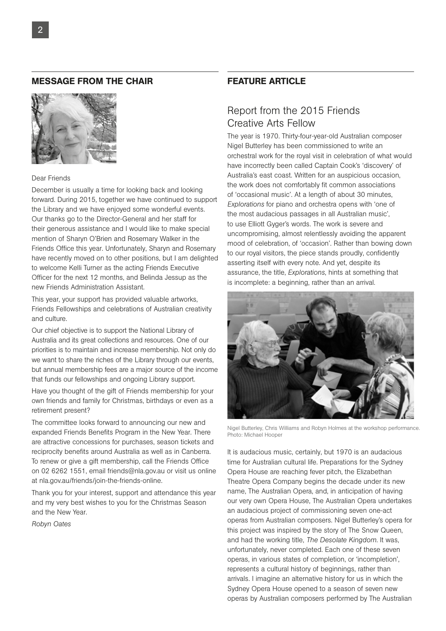#### MESSAGE FROM THE CHAIR



#### Dear Friends

December is usually a time for looking back and looking forward. During 2015, together we have continued to support the Library and we have enjoyed some wonderful events. Our thanks go to the Director-General and her staff for their generous assistance and I would like to make special mention of Sharyn O'Brien and Rosemary Walker in the Friends Office this year. Unfortunately, Sharyn and Rosemary have recently moved on to other positions, but I am delighted to welcome Kelli Turner as the acting Friends Executive Officer for the next 12 months, and Belinda Jessup as the new Friends Administration Assistant.

This year, your support has provided valuable artworks, Friends Fellowships and celebrations of Australian creativity and culture.

Our chief objective is to support the National Library of Australia and its great collections and resources. One of our priorities is to maintain and increase membership. Not only do we want to share the riches of the Library through our events, but annual membership fees are a major source of the income that funds our fellowships and ongoing Library support.

Have you thought of the gift of Friends membership for your own friends and family for Christmas, birthdays or even as a retirement present?

The committee looks forward to announcing our new and expanded Friends Benefits Program in the New Year. There are attractive concessions for purchases, season tickets and reciprocity benefits around Australia as well as in Canberra. To renew or give a gift membership, call the Friends Office on 02 6262 1551, email friends@nla.gov.au or visit us online at nla.gov.au/friends/join-the-friends-online.

Thank you for your interest, support and attendance this year and my very best wishes to you for the Christmas Season and the New Year.

*Robyn Oates*

### FEATURE ARTICLE

## Report from the 2015 Friends Creative Arts Fellow

The year is 1970. Thirty-four-year-old Australian composer Nigel Butterley has been commissioned to write an orchestral work for the royal visit in celebration of what would have incorrectly been called Captain Cook's 'discovery' of Australia's east coast. Written for an auspicious occasion, the work does not comfortably fit common associations of 'occasional music'. At a length of about 30 minutes, *Explorations* for piano and orchestra opens with 'one of the most audacious passages in all Australian music', to use Elliott Gyger's words. The work is severe and uncompromising, almost relentlessly avoiding the apparent mood of celebration, of 'occasion'. Rather than bowing down to our royal visitors, the piece stands proudly, confidently asserting itself with every note. And yet, despite its assurance, the title, *Explorations*, hints at something that is incomplete: a beginning, rather than an arrival.



Nigel Butterley, Chris Williams and Robyn Holmes at the workshop performance. Photo: Michael Hooper

It is audacious music, certainly, but 1970 is an audacious time for Australian cultural life. Preparations for the Sydney Opera House are reaching fever pitch, the Elizabethan Theatre Opera Company begins the decade under its new name, The Australian Opera, and, in anticipation of having our very own Opera House, The Australian Opera undertakes an audacious project of commissioning seven one-act operas from Australian composers. Nigel Butterley's opera for this project was inspired by the story of The Snow Queen, and had the working title, *The Desolate Kingdom*. It was, unfortunately, never completed. Each one of these seven operas, in various states of completion, or 'incompletion', represents a cultural history of beginnings, rather than arrivals. I imagine an alternative history for us in which the Sydney Opera House opened to a season of seven new operas by Australian composers performed by The Australian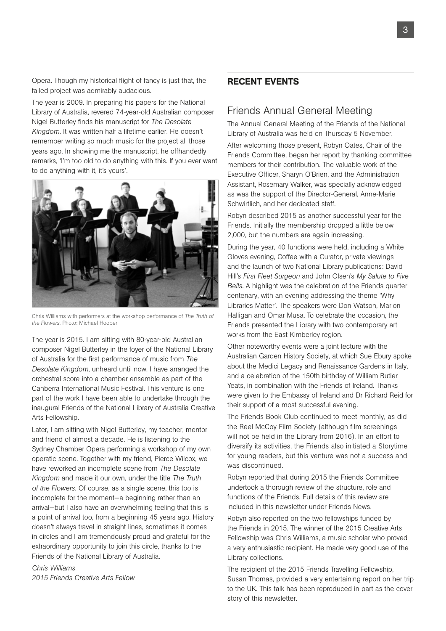Opera. Though my historical flight of fancy is just that, the failed project was admirably audacious.

The year is 2009. In preparing his papers for the National Library of Australia, revered 74-year-old Australian composer Nigel Butterley finds his manuscript for *The Desolate Kingdom*. It was written half a lifetime earlier. He doesn't remember writing so much music for the project all those years ago. In showing me the manuscript, he offhandedly remarks, 'I'm too old to do anything with this. If you ever want to do anything with it, it's yours'.



Chris Williams with performers at the workshop performance of *The Truth of the Flowers*. Photo: Michael Hooper

The year is 2015. I am sitting with 80-year-old Australian composer Nigel Butterley in the foyer of the National Library of Australia for the first performance of music from *The Desolate Kingdom*, unheard until now. I have arranged the orchestral score into a chamber ensemble as part of the Canberra International Music Festival. This venture is one part of the work I have been able to undertake through the inaugural Friends of the National Library of Australia Creative Arts Fellowship.

Later, I am sitting with Nigel Butterley, my teacher, mentor and friend of almost a decade. He is listening to the Sydney Chamber Opera performing a workshop of my own operatic scene. Together with my friend, Pierce Wilcox, we have reworked an incomplete scene from *The Desolate Kingdom* and made it our own, under the title *The Truth of the Flowers*. Of course, as a single scene, this too is incomplete for the moment—a beginning rather than an arrival—but I also have an overwhelming feeling that this is a point of arrival too, from a beginning 45 years ago. History doesn't always travel in straight lines, sometimes it comes in circles and I am tremendously proud and grateful for the extraordinary opportunity to join this circle, thanks to the Friends of the National Library of Australia.

*Chris Williams 2015 Friends Creative Arts Fellow*

## RECENT EVENTS

## Friends Annual General Meeting

The Annual General Meeting of the Friends of the National Library of Australia was held on Thursday 5 November.

After welcoming those present, Robyn Oates, Chair of the Friends Committee, began her report by thanking committee members for their contribution. The valuable work of the Executive Officer, Sharyn O'Brien, and the Administration Assistant, Rosemary Walker, was specially acknowledged as was the support of the Director-General, Anne-Marie Schwirtlich, and her dedicated staff.

Robyn described 2015 as another successful year for the Friends. Initially the membership dropped a little below 2,000, but the numbers are again increasing.

During the year, 40 functions were held, including a White Gloves evening, Coffee with a Curator, private viewings and the launch of two National Library publications: David Hill's *First Fleet Surgeon* and John Olsen's *My Salute to Five Bells*. A highlight was the celebration of the Friends quarter centenary, with an evening addressing the theme 'Why Libraries Matter'. The speakers were Don Watson, Marion Halligan and Omar Musa. To celebrate the occasion, the Friends presented the Library with two contemporary art works from the East Kimberley region.

Other noteworthy events were a joint lecture with the Australian Garden History Society, at which Sue Ebury spoke about the Medici Legacy and Renaissance Gardens in Italy, and a celebration of the 150th birthday of William Butler Yeats, in combination with the Friends of Ireland. Thanks were given to the Embassy of Ireland and Dr Richard Reid for their support of a most successful evening.

The Friends Book Club continued to meet monthly, as did the Reel McCoy Film Society (although film screenings will not be held in the Library from 2016). In an effort to diversify its activities, the Friends also initiated a Storytime for young readers, but this venture was not a success and was discontinued.

Robyn reported that during 2015 the Friends Committee undertook a thorough review of the structure, role and functions of the Friends. Full details of this review are included in this newsletter under Friends News.

Robyn also reported on the two fellowships funded by the Friends in 2015. The winner of the 2015 Creative Arts Fellowship was Chris Williams, a music scholar who proved a very enthusiastic recipient. He made very good use of the Library collections.

The recipient of the 2015 Friends Travelling Fellowship, Susan Thomas, provided a very entertaining report on her trip to the UK. This talk has been reproduced in part as the cover story of this newsletter.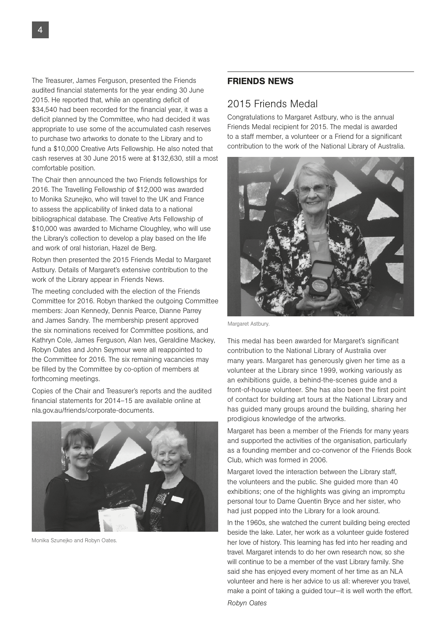The Treasurer, James Ferguson, presented the Friends audited financial statements for the year ending 30 June 2015. He reported that, while an operating deficit of \$34,540 had been recorded for the financial year, it was a deficit planned by the Committee, who had decided it was appropriate to use some of the accumulated cash reserves to purchase two artworks to donate to the Library and to fund a \$10,000 Creative Arts Fellowship. He also noted that cash reserves at 30 June 2015 were at \$132,630, still a most comfortable position.

The Chair then announced the two Friends fellowships for 2016. The Travelling Fellowship of \$12,000 was awarded to Monika Szunejko, who will travel to the UK and France to assess the applicability of linked data to a national bibliographical database. The Creative Arts Fellowship of \$10,000 was awarded to Micharne Cloughley, who will use the Library's collection to develop a play based on the life and work of oral historian, Hazel de Berg.

Robyn then presented the 2015 Friends Medal to Margaret Astbury. Details of Margaret's extensive contribution to the work of the Library appear in Friends News.

The meeting concluded with the election of the Friends Committee for 2016. Robyn thanked the outgoing Committee members: Joan Kennedy, Dennis Pearce, Dianne Parrey and James Sandry. The membership present approved the six nominations received for Committee positions, and Kathryn Cole, James Ferguson, Alan Ives, Geraldine Mackey, Robyn Oates and John Seymour were all reappointed to the Committee for 2016. The six remaining vacancies may be filled by the Committee by co-option of members at forthcoming meetings.

Copies of the Chair and Treasurer's reports and the audited financial statements for 2014–15 are available online at nla.gov.au/friends/corporate-documents.



Monika Szunejko and Robyn Oates.

### FRIENDS NEWS

#### 2015 Friends Medal

Congratulations to Margaret Astbury, who is the annual Friends Medal recipient for 2015. The medal is awarded to a staff member, a volunteer or a Friend for a significant contribution to the work of the National Library of Australia.



Margaret Astbury.

This medal has been awarded for Margaret's significant contribution to the National Library of Australia over many years. Margaret has generously given her time as a volunteer at the Library since 1999, working variously as an exhibitions guide, a behind-the-scenes guide and a front-of-house volunteer. She has also been the first point of contact for building art tours at the National Library and has guided many groups around the building, sharing her prodigious knowledge of the artworks.

Margaret has been a member of the Friends for many years and supported the activities of the organisation, particularly as a founding member and co-convenor of the Friends Book Club, which was formed in 2006.

Margaret loved the interaction between the Library staff, the volunteers and the public. She guided more than 40 exhibitions; one of the highlights was giving an impromptu personal tour to Dame Quentin Bryce and her sister, who had just popped into the Library for a look around.

In the 1960s, she watched the current building being erected beside the lake. Later, her work as a volunteer guide fostered her love of history. This learning has fed into her reading and travel. Margaret intends to do her own research now, so she will continue to be a member of the vast Library family. She said she has enjoyed every moment of her time as an NLA volunteer and here is her advice to us all: wherever you travel, make a point of taking a guided tour—it is well worth the effort.

*Robyn Oates*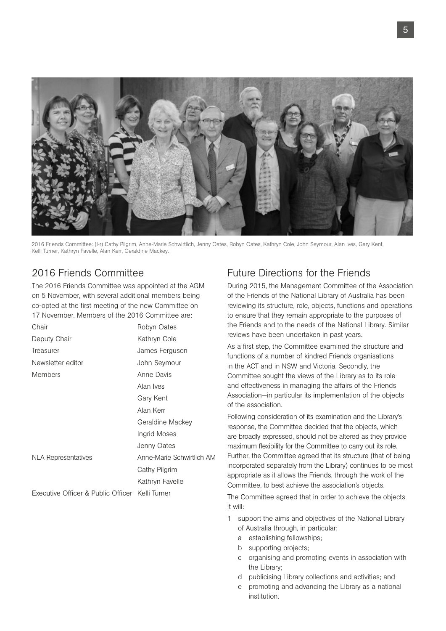

2016 Friends Committee: (l-r) Cathy Pilgrim, Anne-Marie Schwirtlich, Jenny Oates, Robyn Oates, Kathryn Cole, John Seymour, Alan Ives, Gary Kent, Kelli Turner, Kathryn Favelle, Alan Kerr, Geraldine Mackey.

## 2016 Friends Committee

The 2016 Friends Committee was appointed at the AGM on 5 November, with several additional members being co-opted at the first meeting of the new Committee on 17 November. Members of the 2016 Committee are:

| Chair                                           | Robyn Oates               |
|-------------------------------------------------|---------------------------|
| Deputy Chair                                    | Kathryn Cole              |
| Treasurer                                       | James Ferguson            |
| Newsletter editor                               | John Seymour              |
| <b>Members</b>                                  | Anne Davis                |
|                                                 | Alan Ives                 |
|                                                 | Gary Kent                 |
|                                                 | Alan Kerr                 |
|                                                 | Geraldine Mackey          |
|                                                 | Ingrid Moses              |
|                                                 | Jenny Oates               |
| NLA Representatives                             | Anne-Marie Schwirtlich AM |
|                                                 | Cathy Pilgrim             |
|                                                 | Kathryn Favelle           |
| Executive Officer & Public Officer Kelli Turner |                           |

## Future Directions for the Friends

During 2015, the Management Committee of the Association of the Friends of the National Library of Australia has been reviewing its structure, role, objects, functions and operations to ensure that they remain appropriate to the purposes of the Friends and to the needs of the National Library. Similar reviews have been undertaken in past years.

As a first step, the Committee examined the structure and functions of a number of kindred Friends organisations in the ACT and in NSW and Victoria. Secondly, the Committee sought the views of the Library as to its role and effectiveness in managing the affairs of the Friends Association—in particular its implementation of the objects of the association.

Following consideration of its examination and the Library's response, the Committee decided that the objects, which are broadly expressed, should not be altered as they provide maximum flexibility for the Committee to carry out its role. Further, the Committee agreed that its structure (that of being incorporated separately from the Library) continues to be most appropriate as it allows the Friends, through the work of the Committee, to best achieve the association's objects.

The Committee agreed that in order to achieve the objects it will:

- 1 support the aims and objectives of the National Library of Australia through, in particular;
	- a establishing fellowships;
	- b supporting projects;
	- c organising and promoting events in association with the Library;
	- d publicising Library collections and activities; and
	- e promoting and advancing the Library as a national institution.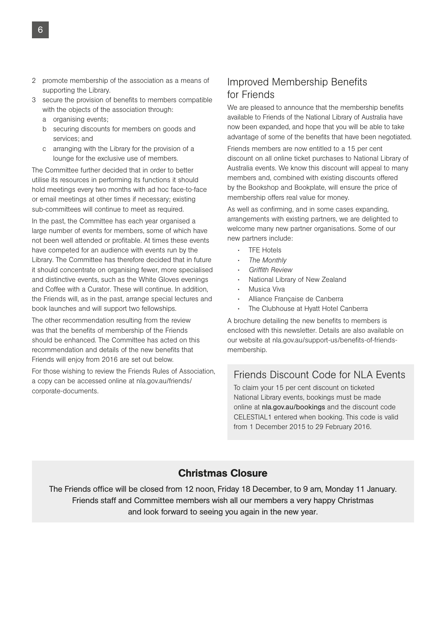- 2 promote membership of the association as a means of supporting the Library.
- 3 secure the provision of benefits to members compatible with the objects of the association through:
	- a organising events;
	- b securing discounts for members on goods and services; and
	- c arranging with the Library for the provision of a lounge for the exclusive use of members.

The Committee further decided that in order to better utilise its resources in performing its functions it should hold meetings every two months with ad hoc face-to-face or email meetings at other times if necessary; existing sub-committees will continue to meet as required.

In the past, the Committee has each year organised a large number of events for members, some of which have not been well attended or profitable. At times these events have competed for an audience with events run by the Library. The Committee has therefore decided that in future it should concentrate on organising fewer, more specialised and distinctive events, such as the White Gloves evenings and Coffee with a Curator. These will continue. In addition, the Friends will, as in the past, arrange special lectures and book launches and will support two fellowships.

The other recommendation resulting from the review was that the benefits of membership of the Friends should be enhanced. The Committee has acted on this recommendation and details of the new benefits that Friends will enjoy from 2016 are set out below.

For those wishing to review the Friends Rules of Association, a copy can be accessed online at nla.gov.au/friends/ corporate-documents.

## Improved Membership Benefits for Friends

We are pleased to announce that the membership benefits available to Friends of the National Library of Australia have now been expanded, and hope that you will be able to take advantage of some of the benefits that have been negotiated.

Friends members are now entitled to a 15 per cent discount on all online ticket purchases to National Library of Australia events. We know this discount will appeal to many members and, combined with existing discounts offered by the Bookshop and Bookplate, will ensure the price of membership offers real value for money.

As well as confirming, and in some cases expanding, arrangements with existing partners, we are delighted to welcome many new partner organisations. Some of our new partners include:

- TFE Hotels
- *The Monthly*
- *Griffith Review*
- National Library of New Zealand
- Musica Viva
- Alliance Française de Canberra
- The Clubhouse at Hyatt Hotel Canberra

A brochure detailing the new benefits to members is enclosed with this newsletter. Details are also available on our website at nla.gov.au/support-us/benefits-of-friendsmembership.

## Friends Discount Code for NLA Events

To claim your 15 per cent discount on ticketed National Library events, bookings must be made online at nla.gov.au/bookings and the discount code CELESTIAL1 entered when booking. This code is valid from 1 December 2015 to 29 February 2016.

## Christmas Closure

The Friends office will be closed from 12 noon, Friday 18 December, to 9 am, Monday 11 January. Friends staff and Committee members wish all our members a very happy Christmas and look forward to seeing you again in the new year.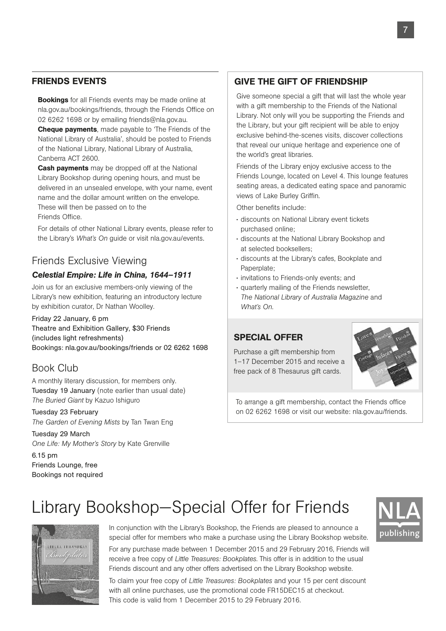### FRIENDS EVENTS

**Bookings** for all Friends events may be made online at nla.gov.au/bookings/friends, through the Friends Office on 02 6262 1698 or by emailing friends@nla.gov.au.

**Cheque payments**, made payable to 'The Friends of the National Library of Australia', should be posted to Friends of the National Library, National Library of Australia, Canberra ACT 2600.

**Cash payments** may be dropped off at the National Library Bookshop during opening hours, and must be delivered in an unsealed envelope, with your name, event name and the dollar amount written on the envelope. These will then be passed on to the

Friends Office.

 For details of other National Library events, please refer to the Library's *What's On* guide or visit nla.gov.au/events.

## Friends Exclusive Viewing

#### *Celestial Empire: Life in China, 1644–1911*

Join us for an exclusive members-only viewing of the Library's new exhibition, featuring an introductory lecture by exhibition curator, Dr Nathan Woolley.

Friday 22 January, 6 pm Theatre and Exhibition Gallery, \$30 Friends (includes light refreshments) Bookings: nla.gov.au/bookings/friends or 02 6262 1698

## Book Club

A monthly literary discussion, for members only. Tuesday 19 January (note earlier than usual date) *The Buried Giant* by Kazuo Ishiguro

Tuesday 23 February *The Garden of Evening Mists* by Tan Twan Eng

Tuesday 29 March *One Life: My Mother's Story* by Kate Grenville

6.15 pm Friends Lounge, free Bookings not required

## GIVE THE GIFT OF FRIENDSHIP

Give someone special a gift that will last the whole year with a gift membership to the Friends of the National Library. Not only will you be supporting the Friends and the Library, but your gift recipient will be able to enjoy exclusive behind-the-scenes visits, discover collections that reveal our unique heritage and experience one of the world's great libraries.

Friends of the Library enjoy exclusive access to the Friends Lounge, located on Level 4. This lounge features seating areas, a dedicated eating space and panoramic views of Lake Burley Griffin.

Other benefits include:

- discounts on National Library event tickets purchased online;
- discounts at the National Library Bookshop and at selected booksellers;
- discounts at the Library's cafes, Bookplate and Paperplate;
- invitations to Friends-only events; and
- quarterly mailing of the Friends newsletter, *The National Library of Australia Magazine* and *What's On*.

#### SPECIAL OFFER

Purchase a gift membership from 1–17 December 2015 and receive a free pack of 8 Thesaurus gift cards.



To arrange a gift membership, contact the Friends office on 02 6262 1698 or visit our website: nla.gov.au/friends.

## Library Bookshop—Special Offer for Friends

This code is valid from 1 December 2015 to 29 February 2016.



In conjunction with the Library's Bookshop, the Friends are pleased to announce a special offer for members who make a purchase using the Library Bookshop website. For any purchase made between 1 December 2015 and 29 February 2016, Friends will receive a free copy of *Little Treasures: Bookplates*. This offer is in addition to the usual Friends discount and any other offers advertised on the Library Bookshop website.

To claim your free copy of *Little Treasures: Bookplates* and your 15 per cent discount with all online purchases, use the promotional code FR15DEC15 at checkout.